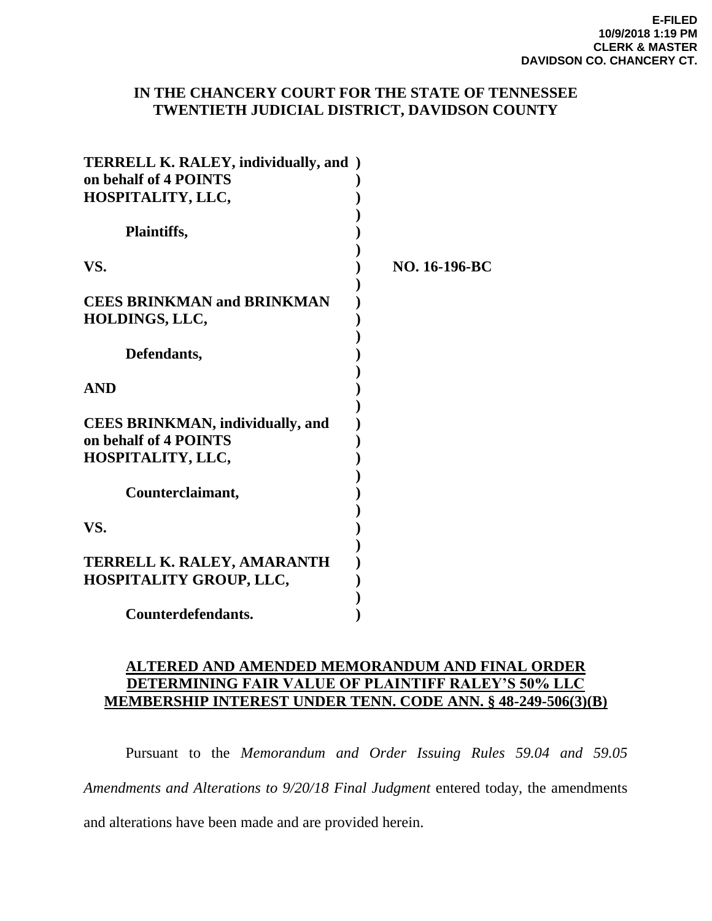# **IN THE CHANCERY COURT FOR THE STATE OF TENNESSEE TWENTIETH JUDICIAL DISTRICT, DAVIDSON COUNTY**

| <b>TERRELL K. RALEY, individually, and</b> )<br>on behalf of 4 POINTS<br>HOSPITALITY, LLC, |               |
|--------------------------------------------------------------------------------------------|---------------|
| Plaintiffs,                                                                                |               |
| VS.                                                                                        | NO. 16-196-BC |
| <b>CEES BRINKMAN and BRINKMAN</b><br>HOLDINGS, LLC,                                        |               |
| Defendants,                                                                                |               |
| <b>AND</b>                                                                                 |               |
| <b>CEES BRINKMAN, individually, and</b><br>on behalf of 4 POINTS<br>HOSPITALITY, LLC,      |               |
| Counterclaimant,                                                                           |               |
| VS.                                                                                        |               |
| TERRELL K. RALEY, AMARANTH<br><b>HOSPITALITY GROUP, LLC,</b>                               |               |
| Counterdefendants.                                                                         |               |

# **ALTERED AND AMENDED MEMORANDUM AND FINAL ORDER DETERMINING FAIR VALUE OF PLAINTIFF RALEY'S 50% LLC MEMBERSHIP INTEREST UNDER TENN. CODE ANN. § 48-249-506(3)(B)**

 Pursuant to the *Memorandum and Order Issuing Rules 59.04 and 59.05 Amendments and Alterations to 9/20/18 Final Judgment* entered today, the amendments

and alterations have been made and are provided herein.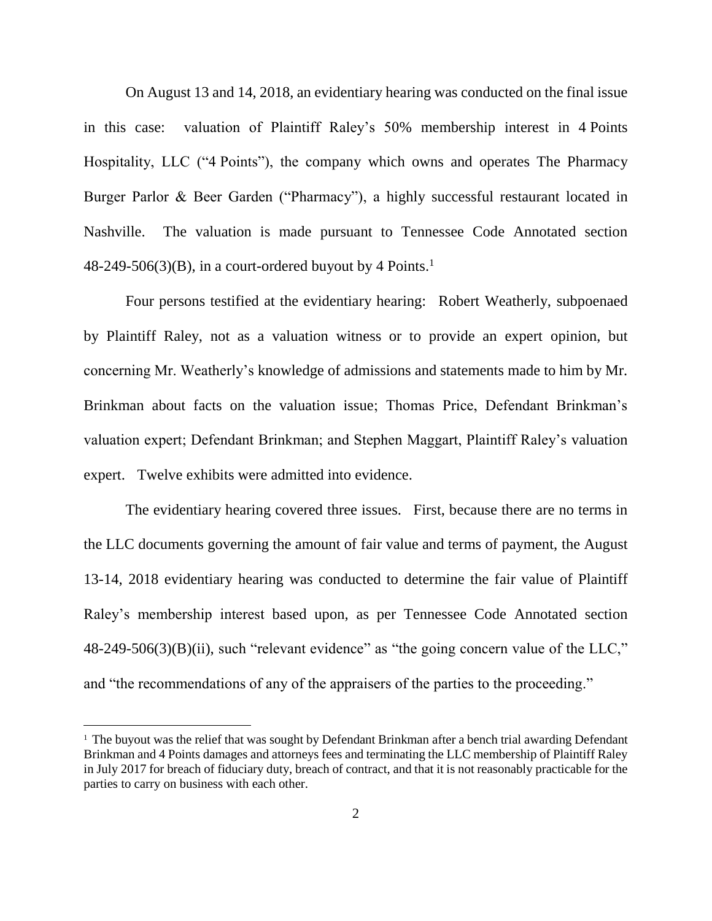On August 13 and 14, 2018, an evidentiary hearing was conducted on the final issue in this case: valuation of Plaintiff Raley's 50% membership interest in 4 Points Hospitality, LLC ("4 Points"), the company which owns and operates The Pharmacy Burger Parlor & Beer Garden ("Pharmacy"), a highly successful restaurant located in Nashville. The valuation is made pursuant to Tennessee Code Annotated section  $48-249-506(3)(B)$ , in a court-ordered buyout by 4 Points.<sup>1</sup>

Four persons testified at the evidentiary hearing: Robert Weatherly, subpoenaed by Plaintiff Raley, not as a valuation witness or to provide an expert opinion, but concerning Mr. Weatherly's knowledge of admissions and statements made to him by Mr. Brinkman about facts on the valuation issue; Thomas Price, Defendant Brinkman's valuation expert; Defendant Brinkman; and Stephen Maggart, Plaintiff Raley's valuation expert. Twelve exhibits were admitted into evidence.

The evidentiary hearing covered three issues. First, because there are no terms in the LLC documents governing the amount of fair value and terms of payment, the August 13-14, 2018 evidentiary hearing was conducted to determine the fair value of Plaintiff Raley's membership interest based upon, as per Tennessee Code Annotated section 48-249-506(3)(B)(ii), such "relevant evidence" as "the going concern value of the LLC," and "the recommendations of any of the appraisers of the parties to the proceeding."

 $\overline{a}$ 

<sup>&</sup>lt;sup>1</sup> The buyout was the relief that was sought by Defendant Brinkman after a bench trial awarding Defendant Brinkman and 4 Points damages and attorneys fees and terminating the LLC membership of Plaintiff Raley in July 2017 for breach of fiduciary duty, breach of contract, and that it is not reasonably practicable for the parties to carry on business with each other.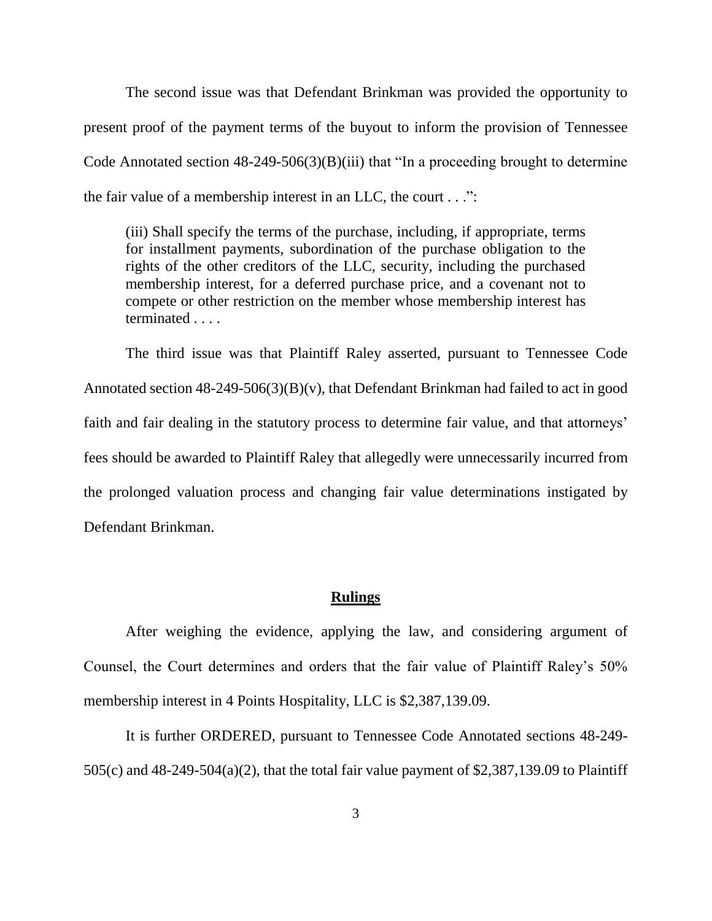The second issue was that Defendant Brinkman was provided the opportunity to present proof of the payment terms of the buyout to inform the provision of Tennessee Code Annotated section 48-249-506(3)(B)(iii) that "In a proceeding brought to determine the fair value of a membership interest in an LLC, the court . . .":

(iii) Shall specify the terms of the purchase, including, if appropriate, terms for installment payments, subordination of the purchase obligation to the rights of the other creditors of the LLC, security, including the purchased membership interest, for a deferred purchase price, and a covenant not to compete or other restriction on the member whose membership interest has terminated . . . .

The third issue was that Plaintiff Raley asserted, pursuant to Tennessee Code Annotated section 48-249-506(3)(B)(v), that Defendant Brinkman had failed to act in good faith and fair dealing in the statutory process to determine fair value, and that attorneys' fees should be awarded to Plaintiff Raley that allegedly were unnecessarily incurred from the prolonged valuation process and changing fair value determinations instigated by Defendant Brinkman.

# **Rulings**

After weighing the evidence, applying the law, and considering argument of Counsel, the Court determines and orders that the fair value of Plaintiff Raley's 50% membership interest in 4 Points Hospitality, LLC is \$2,387,139.09.

It is further ORDERED, pursuant to Tennessee Code Annotated sections 48-249- 505(c) and 48-249-504(a)(2), that the total fair value payment of \$2,387,139.09 to Plaintiff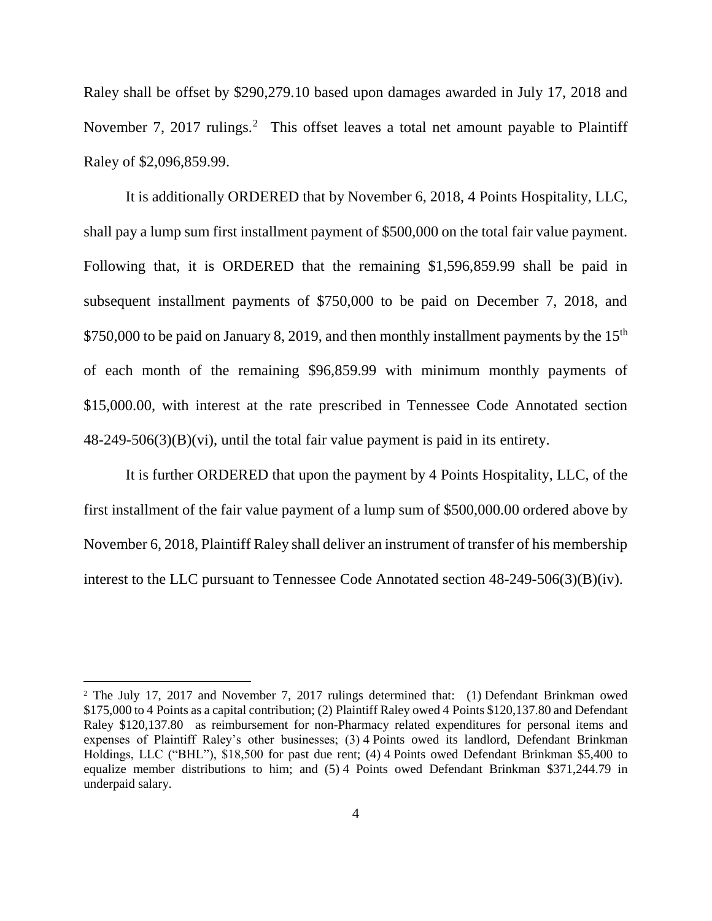Raley shall be offset by \$290,279.10 based upon damages awarded in July 17, 2018 and November 7, 2017 rulings.<sup>2</sup> This offset leaves a total net amount payable to Plaintiff Raley of \$2,096,859.99.

It is additionally ORDERED that by November 6, 2018, 4 Points Hospitality, LLC, shall pay a lump sum first installment payment of \$500,000 on the total fair value payment. Following that, it is ORDERED that the remaining \$1,596,859.99 shall be paid in subsequent installment payments of \$750,000 to be paid on December 7, 2018, and \$750,000 to be paid on January 8, 2019, and then monthly installment payments by the  $15<sup>th</sup>$ of each month of the remaining \$96,859.99 with minimum monthly payments of \$15,000.00, with interest at the rate prescribed in Tennessee Code Annotated section 48-249-506(3)(B)(vi), until the total fair value payment is paid in its entirety.

It is further ORDERED that upon the payment by 4 Points Hospitality, LLC, of the first installment of the fair value payment of a lump sum of \$500,000.00 ordered above by November 6, 2018, Plaintiff Raley shall deliver an instrument of transfer of his membership interest to the LLC pursuant to Tennessee Code Annotated section 48-249-506(3)(B)(iv).

 $\overline{a}$ 

<sup>&</sup>lt;sup>2</sup> The July 17, 2017 and November 7, 2017 rulings determined that: (1) Defendant Brinkman owed \$175,000 to 4 Points as a capital contribution; (2) Plaintiff Raley owed 4 Points \$120,137.80 and Defendant Raley \$120,137.80 as reimbursement for non-Pharmacy related expenditures for personal items and expenses of Plaintiff Raley's other businesses; (3) 4 Points owed its landlord, Defendant Brinkman Holdings, LLC ("BHL"), \$18,500 for past due rent; (4) 4 Points owed Defendant Brinkman \$5,400 to equalize member distributions to him; and (5) 4 Points owed Defendant Brinkman \$371,244.79 in underpaid salary.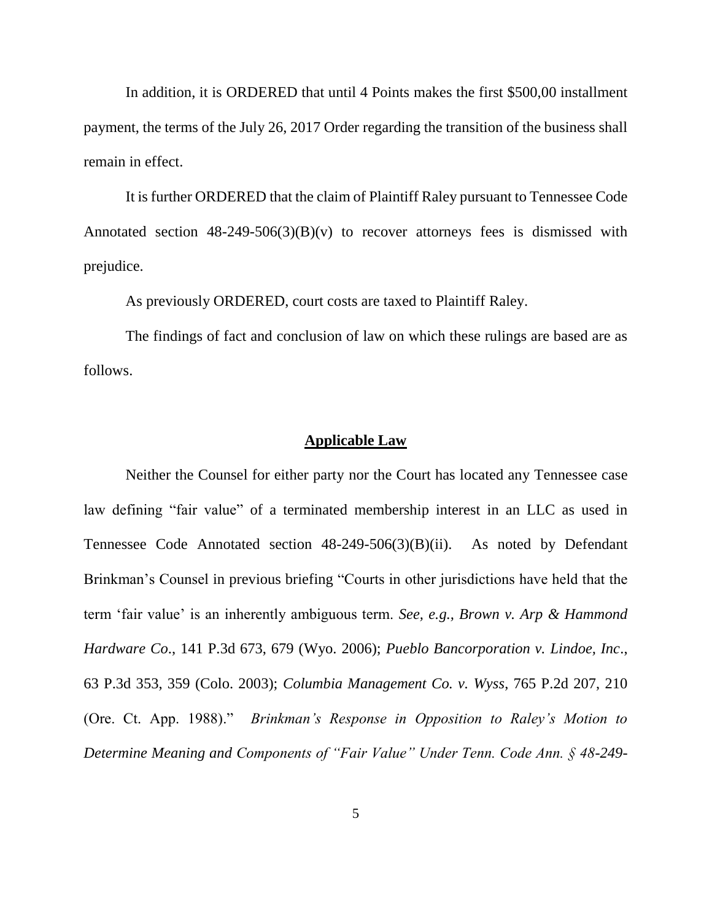In addition, it is ORDERED that until 4 Points makes the first \$500,00 installment payment, the terms of the July 26, 2017 Order regarding the transition of the business shall remain in effect.

It is further ORDERED that the claim of Plaintiff Raley pursuant to Tennessee Code Annotated section  $48-249-506(3)(B)(v)$  to recover attorneys fees is dismissed with prejudice.

As previously ORDERED, court costs are taxed to Plaintiff Raley.

The findings of fact and conclusion of law on which these rulings are based are as follows.

## **Applicable Law**

Neither the Counsel for either party nor the Court has located any Tennessee case law defining "fair value" of a terminated membership interest in an LLC as used in Tennessee Code Annotated section 48-249-506(3)(B)(ii). As noted by Defendant Brinkman's Counsel in previous briefing "Courts in other jurisdictions have held that the term 'fair value' is an inherently ambiguous term. *See, e.g., Brown v. Arp & Hammond Hardware Co*., 141 P.3d 673, 679 (Wyo. 2006); *Pueblo Bancorporation v. Lindoe, Inc*., 63 P.3d 353, 359 (Colo. 2003); *Columbia Management Co. v. Wyss*, 765 P.2d 207, 210 (Ore. Ct. App. 1988)." *Brinkman's Response in Opposition to Raley's Motion to Determine Meaning and Components of "Fair Value" Under Tenn. Code Ann. § 48-249-*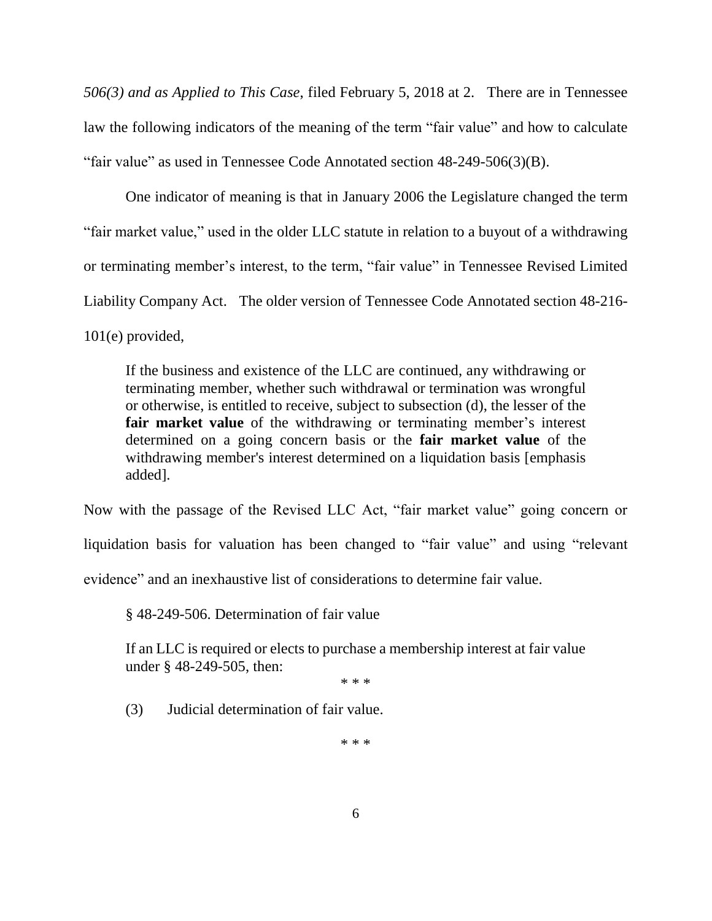*506(3) and as Applied to This Case*, filed February 5, 2018 at 2. There are in Tennessee law the following indicators of the meaning of the term "fair value" and how to calculate "fair value" as used in Tennessee Code Annotated section 48-249-506(3)(B).

One indicator of meaning is that in January 2006 the Legislature changed the term "fair market value," used in the older LLC statute in relation to a buyout of a withdrawing or terminating member's interest, to the term, "fair value" in Tennessee Revised Limited Liability Company Act. The older version of Tennessee Code Annotated section 48-216- 101(e) provided,

If the business and existence of the LLC are continued, any withdrawing or terminating member, whether such withdrawal or termination was wrongful or otherwise, is entitled to receive, subject to subsection (d), the lesser of the **fair market value** of the withdrawing or terminating member's interest determined on a going concern basis or the **fair market value** of the withdrawing member's interest determined on a liquidation basis [emphasis added].

Now with the passage of the Revised LLC Act, "fair market value" going concern or liquidation basis for valuation has been changed to "fair value" and using "relevant evidence" and an inexhaustive list of considerations to determine fair value.

§ 48-249-506. Determination of fair value

If an LLC is required or elects to purchase a membership interest at fair value under § 48-249-505, then:

\* \* \*

(3) Judicial determination of fair value.

\* \* \*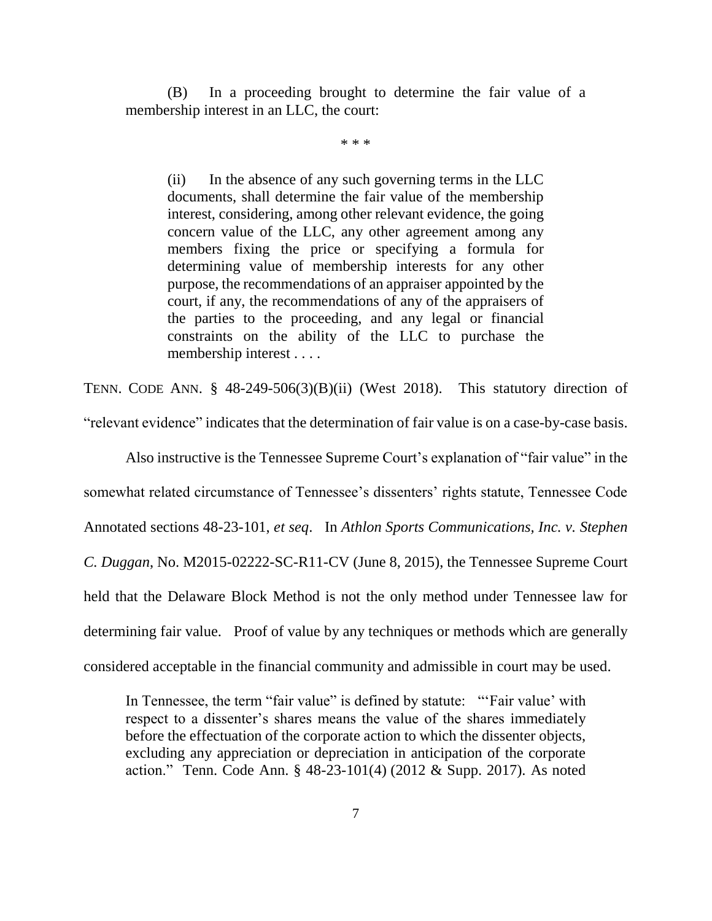(B) In a proceeding brought to determine the fair value of a membership interest in an LLC, the court:

\* \* \*

(ii) In the absence of any such governing terms in the LLC documents, shall determine the fair value of the membership interest, considering, among other relevant evidence, the going concern value of the LLC, any other agreement among any members fixing the price or specifying a formula for determining value of membership interests for any other purpose, the recommendations of an appraiser appointed by the court, if any, the recommendations of any of the appraisers of the parties to the proceeding, and any legal or financial constraints on the ability of the LLC to purchase the membership interest . . . .

TENN. CODE ANN. § 48-249-506(3)(B)(ii) (West 2018). This statutory direction of "relevant evidence" indicates that the determination of fair value is on a case-by-case basis.

Also instructive is the Tennessee Supreme Court's explanation of "fair value" in the somewhat related circumstance of Tennessee's dissenters' rights statute, Tennessee Code Annotated sections 48-23-101, *et seq*. In *Athlon Sports Communications, Inc. v. Stephen C. Duggan*, No. M2015-02222-SC-R11-CV (June 8, 2015), the Tennessee Supreme Court held that the Delaware Block Method is not the only method under Tennessee law for determining fair value. Proof of value by any techniques or methods which are generally considered acceptable in the financial community and admissible in court may be used.

In Tennessee, the term "fair value" is defined by statute: "'Fair value' with respect to a dissenter's shares means the value of the shares immediately before the effectuation of the corporate action to which the dissenter objects, excluding any appreciation or depreciation in anticipation of the corporate action." Tenn. Code Ann. § 48-23-101(4) (2012 & Supp. 2017). As noted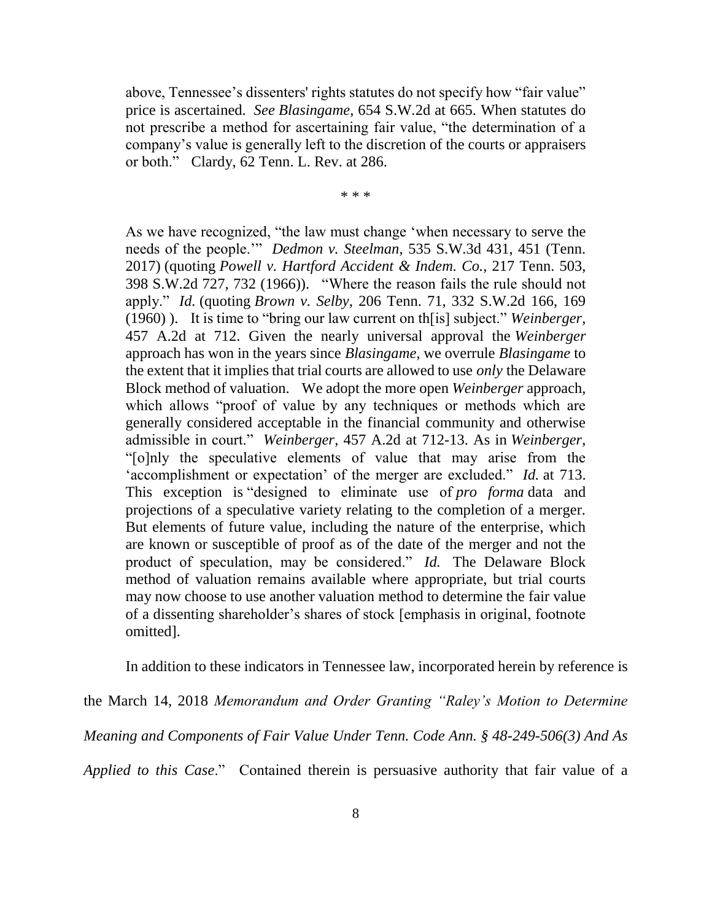above, Tennessee's dissenters' rights statutes do not specify how "fair value" price is ascertained. *See Blasingame*, 654 S.W.2d at 665. When statutes do not prescribe a method for ascertaining fair value, "the determination of a company's value is generally left to the discretion of the courts or appraisers or both." Clardy, 62 Tenn. L. Rev. at 286.

\* \* \*

As we have recognized, "the law must change 'when necessary to serve the needs of the people.'" *Dedmon v. Steelman*, 535 S.W.3d 431, 451 (Tenn. 2017) (quoting *Powell v. Hartford Accident & Indem. Co.*, 217 Tenn. 503, 398 S.W.2d 727, 732 (1966)). "Where the reason fails the rule should not apply." *Id.* (quoting *Brown v. Selby*, 206 Tenn. 71, 332 S.W.2d 166, 169 (1960) ). It is time to "bring our law current on th[is] subject." *Weinberger*, 457 A.2d at 712. Given the nearly universal approval the *Weinberger* approach has won in the years since *Blasingame*, we overrule *Blasingame* to the extent that it implies that trial courts are allowed to use *only* the Delaware Block method of valuation. We adopt the more open *Weinberger* approach, which allows "proof of value by any techniques or methods which are generally considered acceptable in the financial community and otherwise admissible in court." *Weinberger*, 457 A.2d at 712-13. As in *Weinberger*, "[o]nly the speculative elements of value that may arise from the 'accomplishment or expectation' of the merger are excluded." *Id.* at 713. This exception is "designed to eliminate use of *pro forma* data and projections of a speculative variety relating to the completion of a merger. But elements of future value, including the nature of the enterprise, which are known or susceptible of proof as of the date of the merger and not the product of speculation, may be considered." *Id.* The Delaware Block method of valuation remains available where appropriate, but trial courts may now choose to use another valuation method to determine the fair value of a dissenting shareholder's shares of stock [emphasis in original, footnote omitted].

In addition to these indicators in Tennessee law, incorporated herein by reference is

the March 14, 2018 *Memorandum and Order Granting "Raley's Motion to Determine Meaning and Components of Fair Value Under Tenn. Code Ann. § 48-249-506(3) And As Applied to this Case*." Contained therein is persuasive authority that fair value of a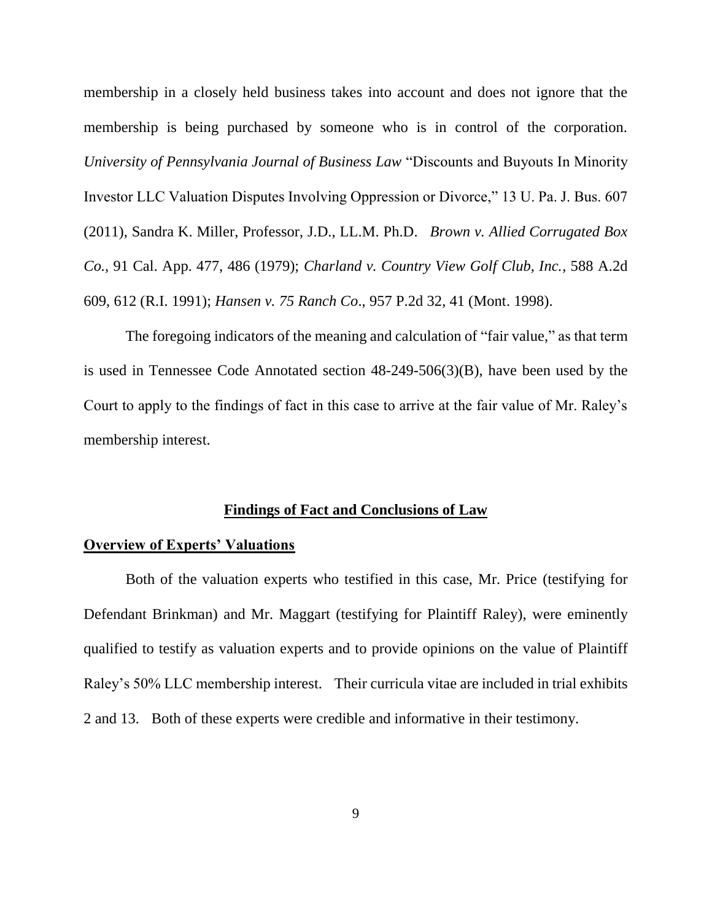membership in a closely held business takes into account and does not ignore that the membership is being purchased by someone who is in control of the corporation. *University of Pennsylvania Journal of Business Law* "Discounts and Buyouts In Minority Investor LLC Valuation Disputes Involving Oppression or Divorce," 13 U. Pa. J. Bus. 607 (2011), Sandra K. Miller, Professor, J.D., LL.M. Ph.D. *Brown v. Allied Corrugated Box Co.,* 91 Cal. App. 477, 486 (1979); *Charland v. Country View Golf Club, Inc.*, 588 A.2d 609, 612 (R.I. 1991); *Hansen v. 75 Ranch Co*., 957 P.2d 32, 41 (Mont. 1998).

The foregoing indicators of the meaning and calculation of "fair value," as that term is used in Tennessee Code Annotated section 48-249-506(3)(B), have been used by the Court to apply to the findings of fact in this case to arrive at the fair value of Mr. Raley's membership interest.

## **Findings of Fact and Conclusions of Law**

## **Overview of Experts' Valuations**

Both of the valuation experts who testified in this case, Mr. Price (testifying for Defendant Brinkman) and Mr. Maggart (testifying for Plaintiff Raley), were eminently qualified to testify as valuation experts and to provide opinions on the value of Plaintiff Raley's 50% LLC membership interest. Their curricula vitae are included in trial exhibits 2 and 13. Both of these experts were credible and informative in their testimony.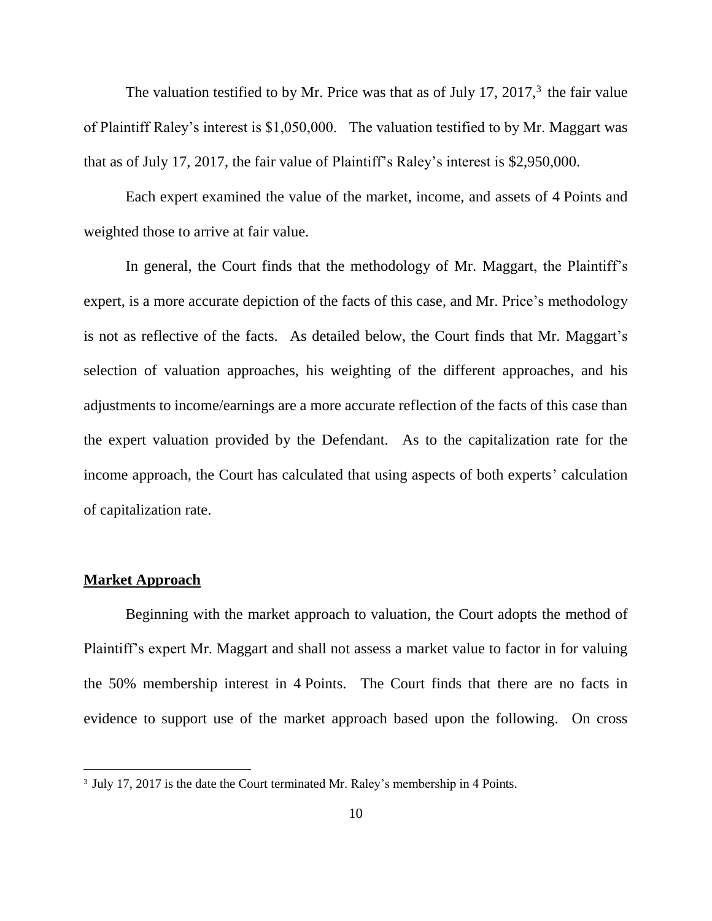The valuation testified to by Mr. Price was that as of July 17, 2017, $3$  the fair value of Plaintiff Raley's interest is \$1,050,000. The valuation testified to by Mr. Maggart was that as of July 17, 2017, the fair value of Plaintiff's Raley's interest is \$2,950,000.

Each expert examined the value of the market, income, and assets of 4 Points and weighted those to arrive at fair value.

In general, the Court finds that the methodology of Mr. Maggart, the Plaintiff's expert, is a more accurate depiction of the facts of this case, and Mr. Price's methodology is not as reflective of the facts. As detailed below, the Court finds that Mr. Maggart's selection of valuation approaches, his weighting of the different approaches, and his adjustments to income/earnings are a more accurate reflection of the facts of this case than the expert valuation provided by the Defendant. As to the capitalization rate for the income approach, the Court has calculated that using aspects of both experts' calculation of capitalization rate.

#### **Market Approach**

 $\overline{a}$ 

Beginning with the market approach to valuation, the Court adopts the method of Plaintiff's expert Mr. Maggart and shall not assess a market value to factor in for valuing the 50% membership interest in 4 Points. The Court finds that there are no facts in evidence to support use of the market approach based upon the following. On cross

<sup>&</sup>lt;sup>3</sup> July 17, 2017 is the date the Court terminated Mr. Raley's membership in 4 Points.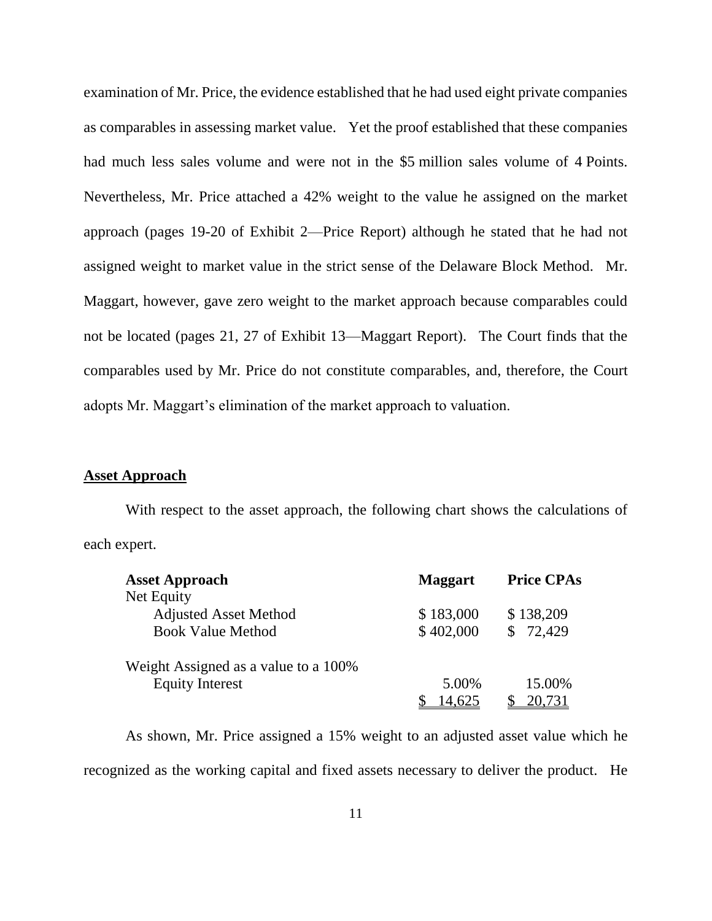examination of Mr. Price, the evidence established that he had used eight private companies as comparables in assessing market value. Yet the proof established that these companies had much less sales volume and were not in the \$5 million sales volume of 4 Points. Nevertheless, Mr. Price attached a 42% weight to the value he assigned on the market approach (pages 19-20 of Exhibit 2—Price Report) although he stated that he had not assigned weight to market value in the strict sense of the Delaware Block Method. Mr. Maggart, however, gave zero weight to the market approach because comparables could not be located (pages 21, 27 of Exhibit 13—Maggart Report). The Court finds that the comparables used by Mr. Price do not constitute comparables, and, therefore, the Court adopts Mr. Maggart's elimination of the market approach to valuation.

## **Asset Approach**

With respect to the asset approach, the following chart shows the calculations of each expert.

| <b>Asset Approach</b>                | <b>Maggart</b> | <b>Price CPAs</b> |
|--------------------------------------|----------------|-------------------|
| Net Equity                           |                |                   |
| <b>Adjusted Asset Method</b>         | \$183,000      | \$138,209         |
| <b>Book Value Method</b>             | \$402,000      | 72,429            |
| Weight Assigned as a value to a 100% |                |                   |
| <b>Equity Interest</b>               | 5.00%          | 15.00%            |
|                                      | 14.625         | 20.731            |

As shown, Mr. Price assigned a 15% weight to an adjusted asset value which he recognized as the working capital and fixed assets necessary to deliver the product. He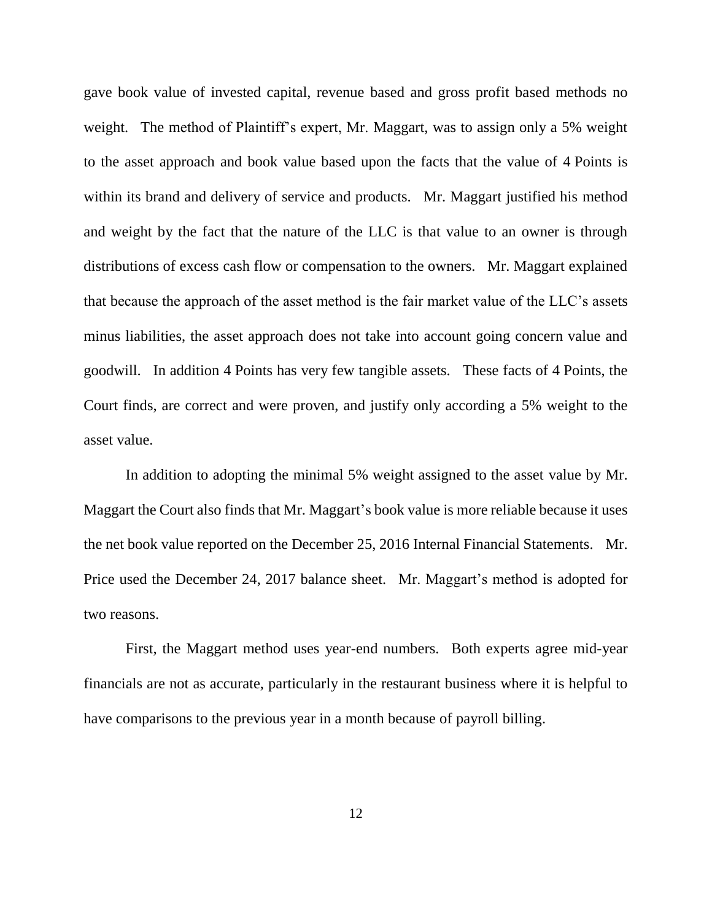gave book value of invested capital, revenue based and gross profit based methods no weight. The method of Plaintiff's expert, Mr. Maggart, was to assign only a 5% weight to the asset approach and book value based upon the facts that the value of 4 Points is within its brand and delivery of service and products. Mr. Maggart justified his method and weight by the fact that the nature of the LLC is that value to an owner is through distributions of excess cash flow or compensation to the owners. Mr. Maggart explained that because the approach of the asset method is the fair market value of the LLC's assets minus liabilities, the asset approach does not take into account going concern value and goodwill. In addition 4 Points has very few tangible assets. These facts of 4 Points, the Court finds, are correct and were proven, and justify only according a 5% weight to the asset value.

In addition to adopting the minimal 5% weight assigned to the asset value by Mr. Maggart the Court also finds that Mr. Maggart's book value is more reliable because it uses the net book value reported on the December 25, 2016 Internal Financial Statements. Mr. Price used the December 24, 2017 balance sheet. Mr. Maggart's method is adopted for two reasons.

First, the Maggart method uses year-end numbers. Both experts agree mid-year financials are not as accurate, particularly in the restaurant business where it is helpful to have comparisons to the previous year in a month because of payroll billing.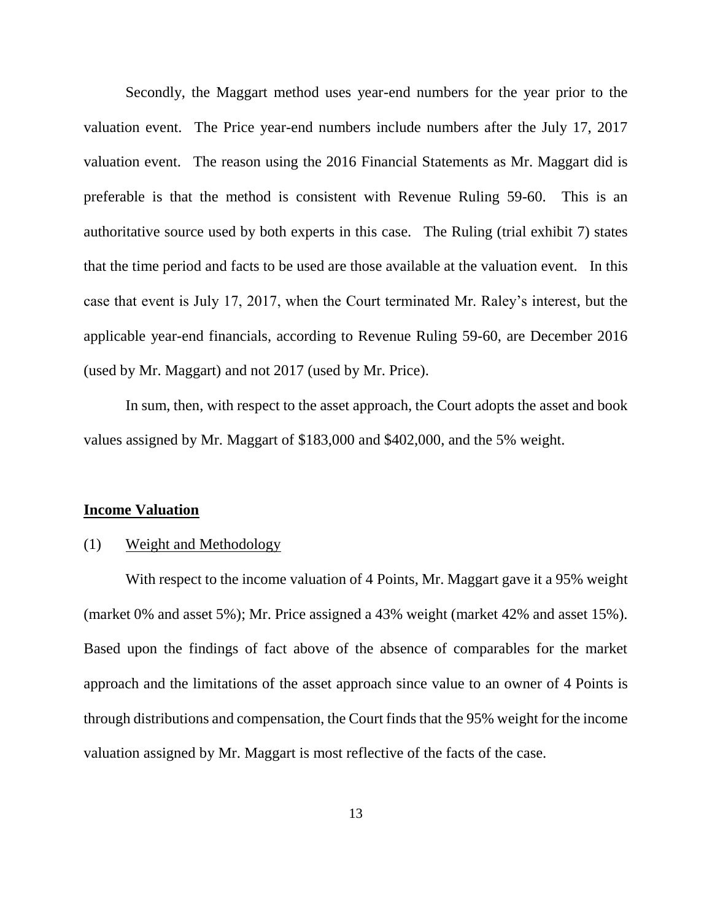Secondly, the Maggart method uses year-end numbers for the year prior to the valuation event. The Price year-end numbers include numbers after the July 17, 2017 valuation event. The reason using the 2016 Financial Statements as Mr. Maggart did is preferable is that the method is consistent with Revenue Ruling 59-60. This is an authoritative source used by both experts in this case. The Ruling (trial exhibit 7) states that the time period and facts to be used are those available at the valuation event. In this case that event is July 17, 2017, when the Court terminated Mr. Raley's interest, but the applicable year-end financials, according to Revenue Ruling 59-60, are December 2016 (used by Mr. Maggart) and not 2017 (used by Mr. Price).

In sum, then, with respect to the asset approach, the Court adopts the asset and book values assigned by Mr. Maggart of \$183,000 and \$402,000, and the 5% weight.

#### **Income Valuation**

## (1) Weight and Methodology

With respect to the income valuation of 4 Points, Mr. Maggart gave it a 95% weight (market 0% and asset 5%); Mr. Price assigned a 43% weight (market 42% and asset 15%). Based upon the findings of fact above of the absence of comparables for the market approach and the limitations of the asset approach since value to an owner of 4 Points is through distributions and compensation, the Court finds that the 95% weight for the income valuation assigned by Mr. Maggart is most reflective of the facts of the case.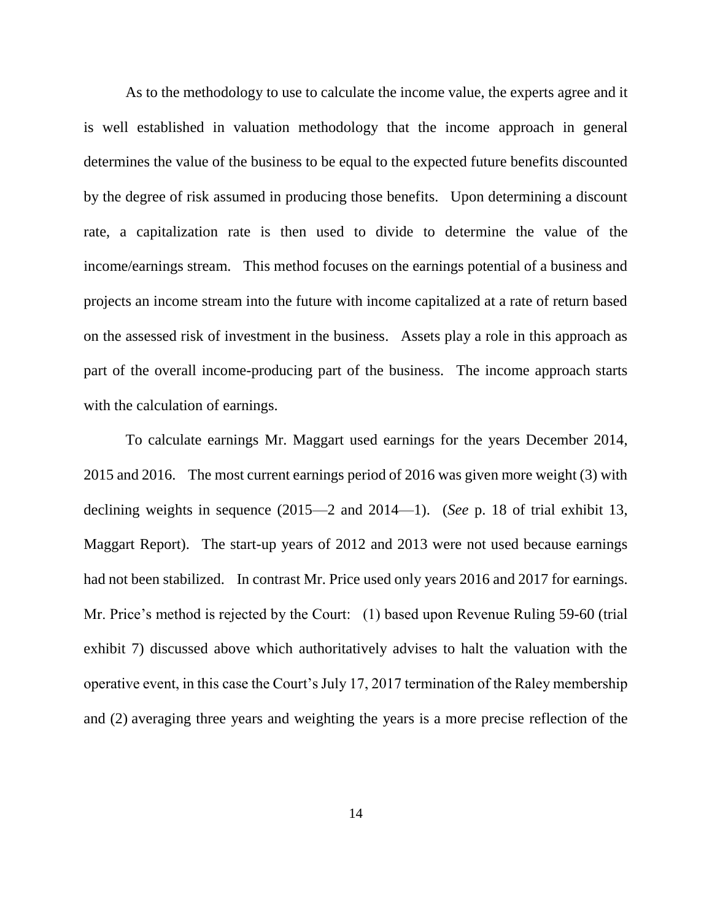As to the methodology to use to calculate the income value, the experts agree and it is well established in valuation methodology that the income approach in general determines the value of the business to be equal to the expected future benefits discounted by the degree of risk assumed in producing those benefits. Upon determining a discount rate, a capitalization rate is then used to divide to determine the value of the income/earnings stream. This method focuses on the earnings potential of a business and projects an income stream into the future with income capitalized at a rate of return based on the assessed risk of investment in the business. Assets play a role in this approach as part of the overall income-producing part of the business. The income approach starts with the calculation of earnings.

To calculate earnings Mr. Maggart used earnings for the years December 2014, 2015 and 2016. The most current earnings period of 2016 was given more weight (3) with declining weights in sequence (2015—2 and 2014—1). (*See* p. 18 of trial exhibit 13, Maggart Report). The start-up years of 2012 and 2013 were not used because earnings had not been stabilized. In contrast Mr. Price used only years 2016 and 2017 for earnings. Mr. Price's method is rejected by the Court: (1) based upon Revenue Ruling 59-60 (trial exhibit 7) discussed above which authoritatively advises to halt the valuation with the operative event, in this case the Court's July 17, 2017 termination of the Raley membership and (2) averaging three years and weighting the years is a more precise reflection of the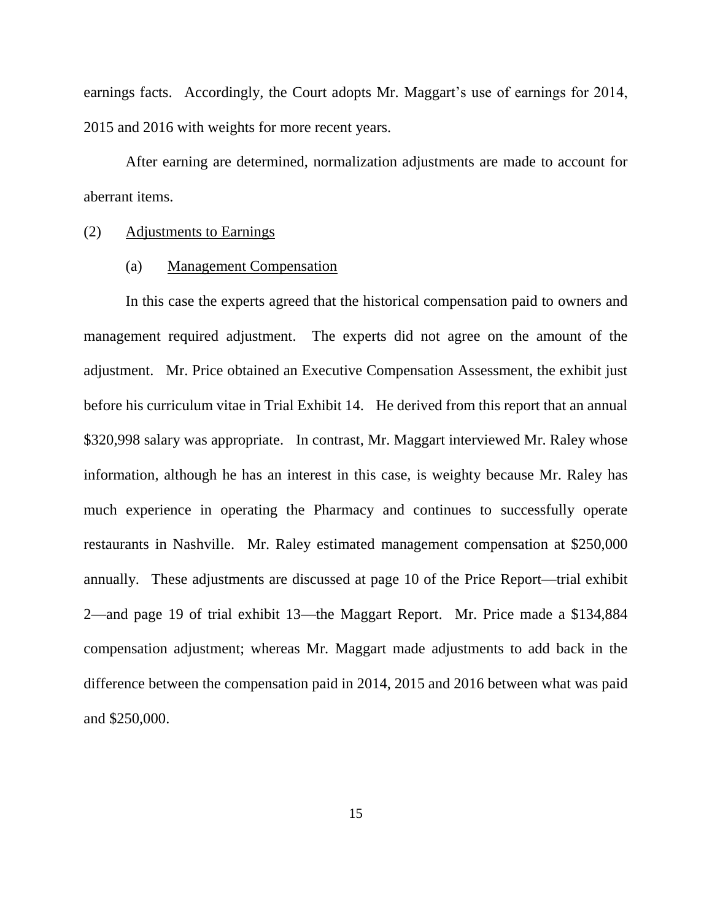earnings facts. Accordingly, the Court adopts Mr. Maggart's use of earnings for 2014, 2015 and 2016 with weights for more recent years.

After earning are determined, normalization adjustments are made to account for aberrant items.

#### (2) Adjustments to Earnings

#### (a) Management Compensation

In this case the experts agreed that the historical compensation paid to owners and management required adjustment. The experts did not agree on the amount of the adjustment. Mr. Price obtained an Executive Compensation Assessment, the exhibit just before his curriculum vitae in Trial Exhibit 14. He derived from this report that an annual \$320,998 salary was appropriate. In contrast, Mr. Maggart interviewed Mr. Raley whose information, although he has an interest in this case, is weighty because Mr. Raley has much experience in operating the Pharmacy and continues to successfully operate restaurants in Nashville. Mr. Raley estimated management compensation at \$250,000 annually. These adjustments are discussed at page 10 of the Price Report—trial exhibit 2—and page 19 of trial exhibit 13—the Maggart Report. Mr. Price made a \$134,884 compensation adjustment; whereas Mr. Maggart made adjustments to add back in the difference between the compensation paid in 2014, 2015 and 2016 between what was paid and \$250,000.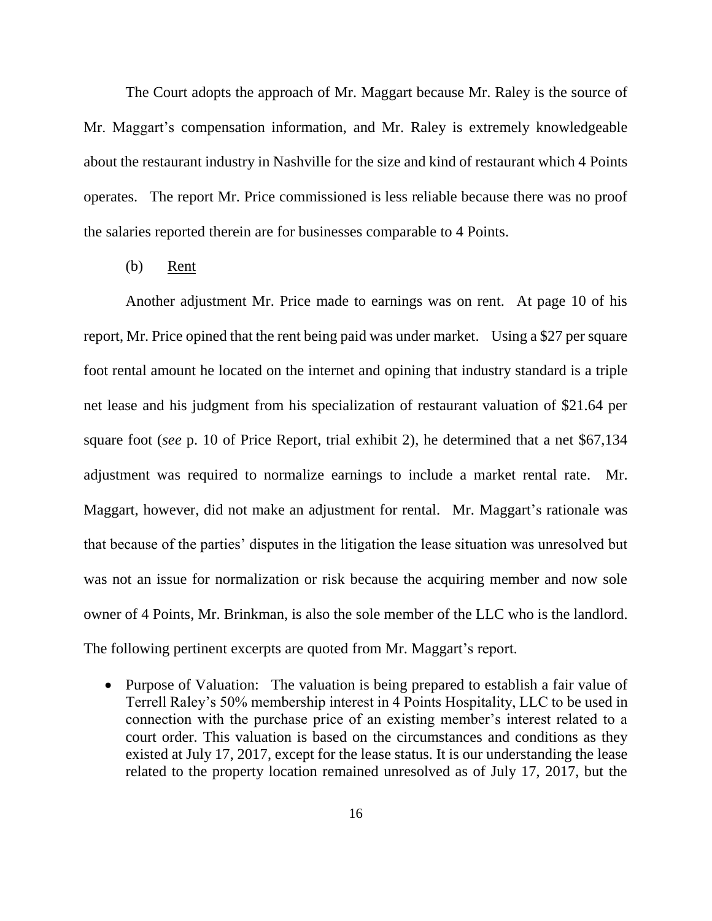The Court adopts the approach of Mr. Maggart because Mr. Raley is the source of Mr. Maggart's compensation information, and Mr. Raley is extremely knowledgeable about the restaurant industry in Nashville for the size and kind of restaurant which 4 Points operates. The report Mr. Price commissioned is less reliable because there was no proof the salaries reported therein are for businesses comparable to 4 Points.

(b) Rent

Another adjustment Mr. Price made to earnings was on rent. At page 10 of his report, Mr. Price opined that the rent being paid was under market. Using a \$27 per square foot rental amount he located on the internet and opining that industry standard is a triple net lease and his judgment from his specialization of restaurant valuation of \$21.64 per square foot (*see* p. 10 of Price Report, trial exhibit 2), he determined that a net \$67,134 adjustment was required to normalize earnings to include a market rental rate. Mr. Maggart, however, did not make an adjustment for rental. Mr. Maggart's rationale was that because of the parties' disputes in the litigation the lease situation was unresolved but was not an issue for normalization or risk because the acquiring member and now sole owner of 4 Points, Mr. Brinkman, is also the sole member of the LLC who is the landlord. The following pertinent excerpts are quoted from Mr. Maggart's report.

• Purpose of Valuation: The valuation is being prepared to establish a fair value of Terrell Raley's 50% membership interest in 4 Points Hospitality, LLC to be used in connection with the purchase price of an existing member's interest related to a court order. This valuation is based on the circumstances and conditions as they existed at July 17, 2017, except for the lease status. It is our understanding the lease related to the property location remained unresolved as of July 17, 2017, but the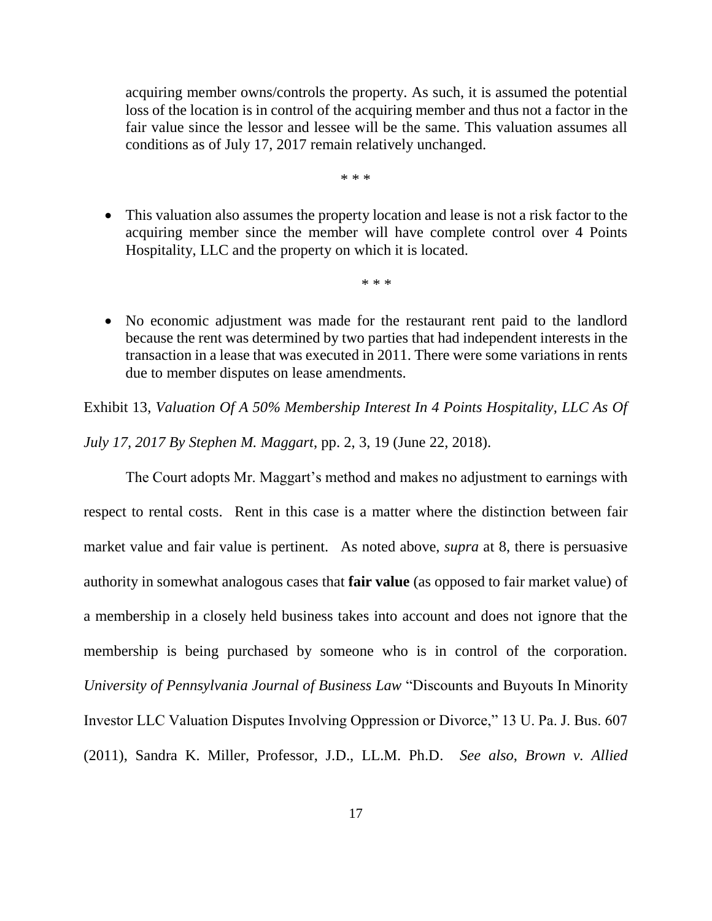acquiring member owns/controls the property. As such, it is assumed the potential loss of the location is in control of the acquiring member and thus not a factor in the fair value since the lessor and lessee will be the same. This valuation assumes all conditions as of July 17, 2017 remain relatively unchanged.

\* \* \*

 This valuation also assumes the property location and lease is not a risk factor to the acquiring member since the member will have complete control over 4 Points Hospitality, LLC and the property on which it is located.

\* \* \*

 No economic adjustment was made for the restaurant rent paid to the landlord because the rent was determined by two parties that had independent interests in the transaction in a lease that was executed in 2011. There were some variations in rents due to member disputes on lease amendments.

Exhibit 13, *Valuation Of A 50% Membership Interest In 4 Points Hospitality, LLC As Of* 

*July 17, 2017 By Stephen M. Maggart*, pp. 2, 3, 19 (June 22, 2018).

The Court adopts Mr. Maggart's method and makes no adjustment to earnings with respect to rental costs. Rent in this case is a matter where the distinction between fair market value and fair value is pertinent. As noted above, *supra* at 8, there is persuasive authority in somewhat analogous cases that **fair value** (as opposed to fair market value) of a membership in a closely held business takes into account and does not ignore that the membership is being purchased by someone who is in control of the corporation. *University of Pennsylvania Journal of Business Law* "Discounts and Buyouts In Minority Investor LLC Valuation Disputes Involving Oppression or Divorce," 13 U. Pa. J. Bus. 607 (2011), Sandra K. Miller, Professor, J.D., LL.M. Ph.D. *See also*, *Brown v. Allied*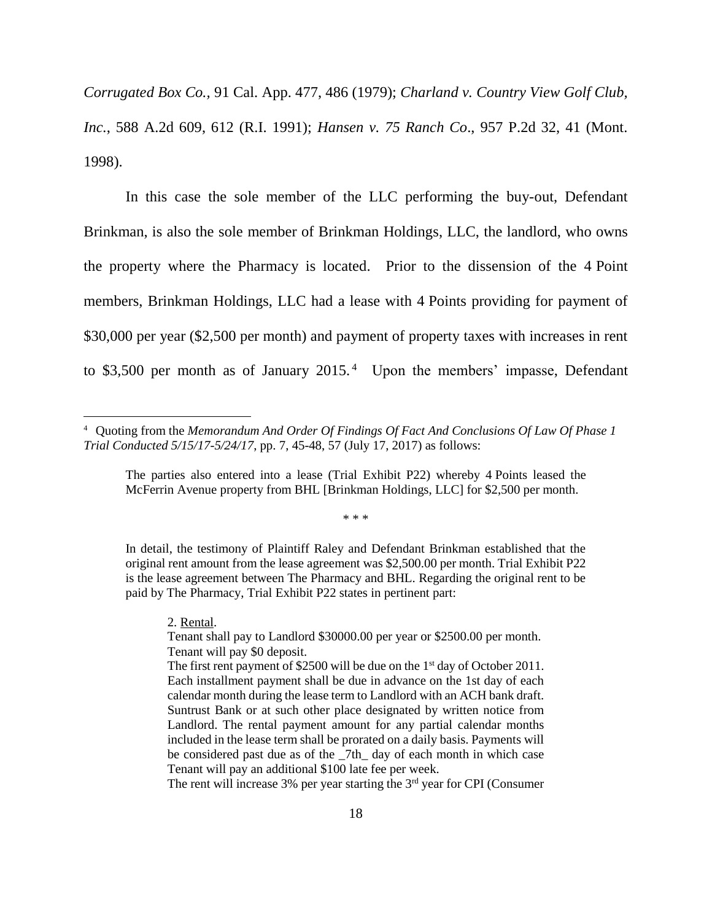*Corrugated Box Co.,* 91 Cal. App. 477, 486 (1979); *Charland v. Country View Golf Club, Inc.*, 588 A.2d 609, 612 (R.I. 1991); *Hansen v. 75 Ranch Co*., 957 P.2d 32, 41 (Mont. 1998).

In this case the sole member of the LLC performing the buy-out, Defendant Brinkman, is also the sole member of Brinkman Holdings, LLC, the landlord, who owns the property where the Pharmacy is located. Prior to the dissension of the 4 Point members, Brinkman Holdings, LLC had a lease with 4 Points providing for payment of \$30,000 per year (\$2,500 per month) and payment of property taxes with increases in rent to \$3,500 per month as of January  $2015<sup>4</sup>$  Upon the members' impasse, Defendant

\* \* \*

In detail, the testimony of Plaintiff Raley and Defendant Brinkman established that the original rent amount from the lease agreement was \$2,500.00 per month. Trial Exhibit P22 is the lease agreement between The Pharmacy and BHL. Regarding the original rent to be paid by The Pharmacy, Trial Exhibit P22 states in pertinent part:

2. Rental.

 $\overline{a}$ 

The rent will increase  $3\%$  per year starting the  $3<sup>rd</sup>$  year for CPI (Consumer

<sup>4</sup> Quoting from the *Memorandum And Order Of Findings Of Fact And Conclusions Of Law Of Phase 1 Trial Conducted 5/15/17-5/24/17*, pp. 7, 45-48, 57 (July 17, 2017) as follows:

The parties also entered into a lease (Trial Exhibit P22) whereby 4 Points leased the McFerrin Avenue property from BHL [Brinkman Holdings, LLC] for \$2,500 per month.

Tenant shall pay to Landlord \$30000.00 per year or \$2500.00 per month. Tenant will pay \$0 deposit.

The first rent payment of \$2500 will be due on the 1<sup>st</sup> day of October 2011. Each installment payment shall be due in advance on the 1st day of each calendar month during the lease term to Landlord with an ACH bank draft. Suntrust Bank or at such other place designated by written notice from Landlord. The rental payment amount for any partial calendar months included in the lease term shall be prorated on a daily basis. Payments will be considered past due as of the 7th day of each month in which case Tenant will pay an additional \$100 late fee per week.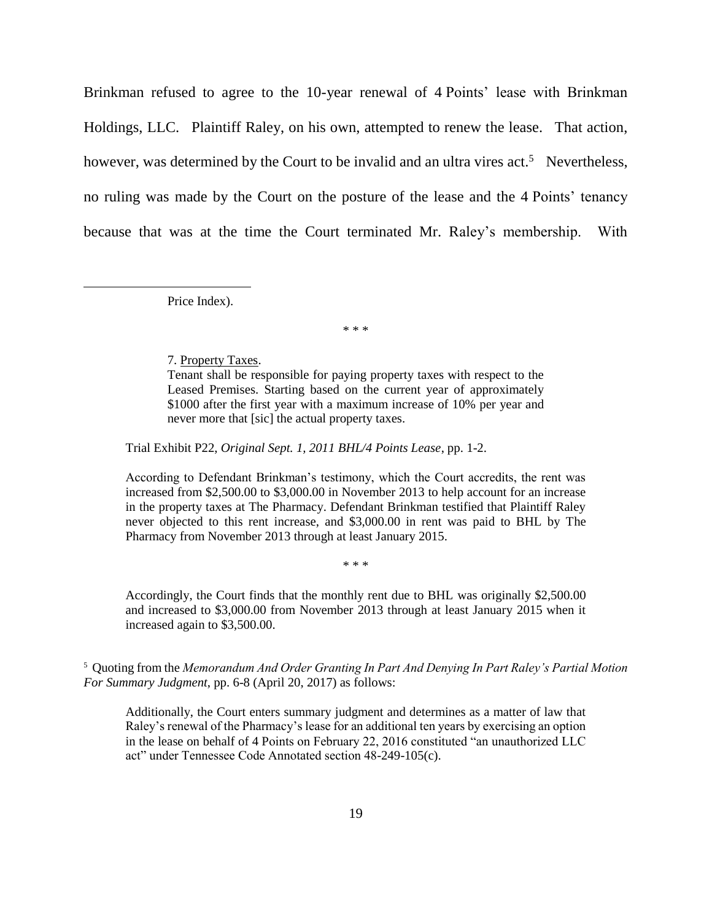Brinkman refused to agree to the 10-year renewal of 4 Points' lease with Brinkman Holdings, LLC. Plaintiff Raley, on his own, attempted to renew the lease. That action, however, was determined by the Court to be invalid and an ultra vires act.<sup>5</sup> Nevertheless, no ruling was made by the Court on the posture of the lease and the 4 Points' tenancy because that was at the time the Court terminated Mr. Raley's membership. With

Price Index).

 $\overline{a}$ 

\* \* \*

7. Property Taxes.

Tenant shall be responsible for paying property taxes with respect to the Leased Premises. Starting based on the current year of approximately \$1000 after the first year with a maximum increase of 10% per year and never more that [sic] the actual property taxes.

Trial Exhibit P22, *Original Sept. 1, 2011 BHL/4 Points Lease*, pp. 1-2.

According to Defendant Brinkman's testimony, which the Court accredits, the rent was increased from \$2,500.00 to \$3,000.00 in November 2013 to help account for an increase in the property taxes at The Pharmacy. Defendant Brinkman testified that Plaintiff Raley never objected to this rent increase, and \$3,000.00 in rent was paid to BHL by The Pharmacy from November 2013 through at least January 2015.

Accordingly, the Court finds that the monthly rent due to BHL was originally \$2,500.00 and increased to \$3,000.00 from November 2013 through at least January 2015 when it increased again to \$3,500.00.

\* \* \*

<sup>5</sup> Quoting from the *Memorandum And Order Granting In Part And Denying In Part Raley's Partial Motion For Summary Judgment*, pp. 6-8 (April 20, 2017) as follows:

Additionally, the Court enters summary judgment and determines as a matter of law that Raley's renewal of the Pharmacy's lease for an additional ten years by exercising an option in the lease on behalf of 4 Points on February 22, 2016 constituted "an unauthorized LLC act" under Tennessee Code Annotated section 48-249-105(c).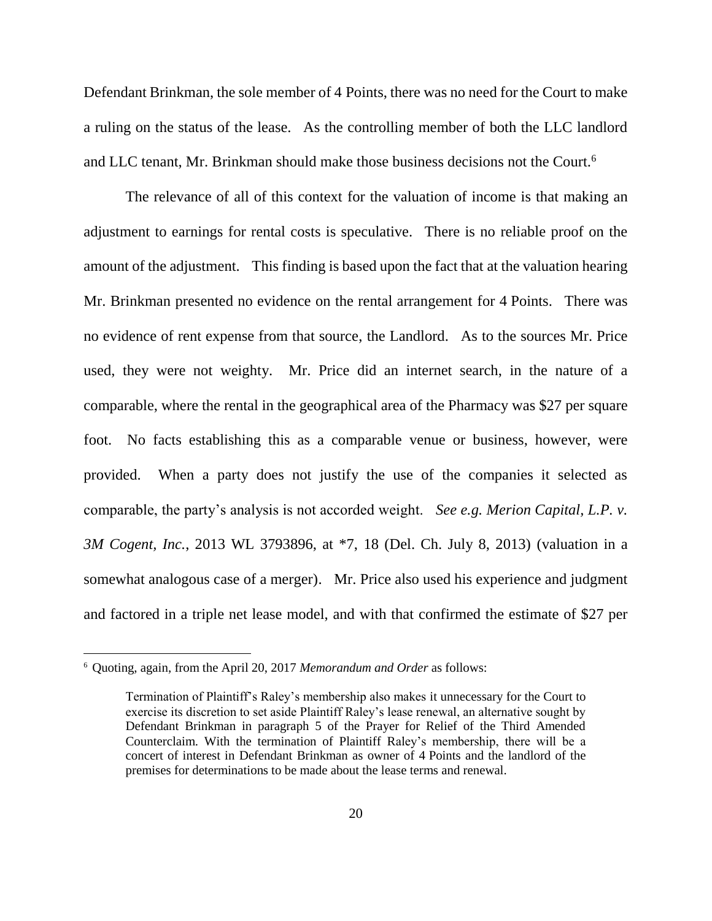Defendant Brinkman, the sole member of 4 Points, there was no need for the Court to make a ruling on the status of the lease. As the controlling member of both the LLC landlord and LLC tenant, Mr. Brinkman should make those business decisions not the Court.<sup>6</sup>

The relevance of all of this context for the valuation of income is that making an adjustment to earnings for rental costs is speculative. There is no reliable proof on the amount of the adjustment. This finding is based upon the fact that at the valuation hearing Mr. Brinkman presented no evidence on the rental arrangement for 4 Points. There was no evidence of rent expense from that source, the Landlord. As to the sources Mr. Price used, they were not weighty. Mr. Price did an internet search, in the nature of a comparable, where the rental in the geographical area of the Pharmacy was \$27 per square foot. No facts establishing this as a comparable venue or business, however, were provided. When a party does not justify the use of the companies it selected as comparable, the party's analysis is not accorded weight. *See e.g. Merion Capital, L.P. v. 3M Cogent, Inc.*, 2013 WL 3793896, at \*7, 18 (Del. Ch. July 8, 2013) (valuation in a somewhat analogous case of a merger). Mr. Price also used his experience and judgment and factored in a triple net lease model, and with that confirmed the estimate of \$27 per

 $\overline{a}$ 

<sup>6</sup> Quoting, again, from the April 20, 2017 *Memorandum and Order* as follows:

Termination of Plaintiff's Raley's membership also makes it unnecessary for the Court to exercise its discretion to set aside Plaintiff Raley's lease renewal, an alternative sought by Defendant Brinkman in paragraph 5 of the Prayer for Relief of the Third Amended Counterclaim. With the termination of Plaintiff Raley's membership, there will be a concert of interest in Defendant Brinkman as owner of 4 Points and the landlord of the premises for determinations to be made about the lease terms and renewal.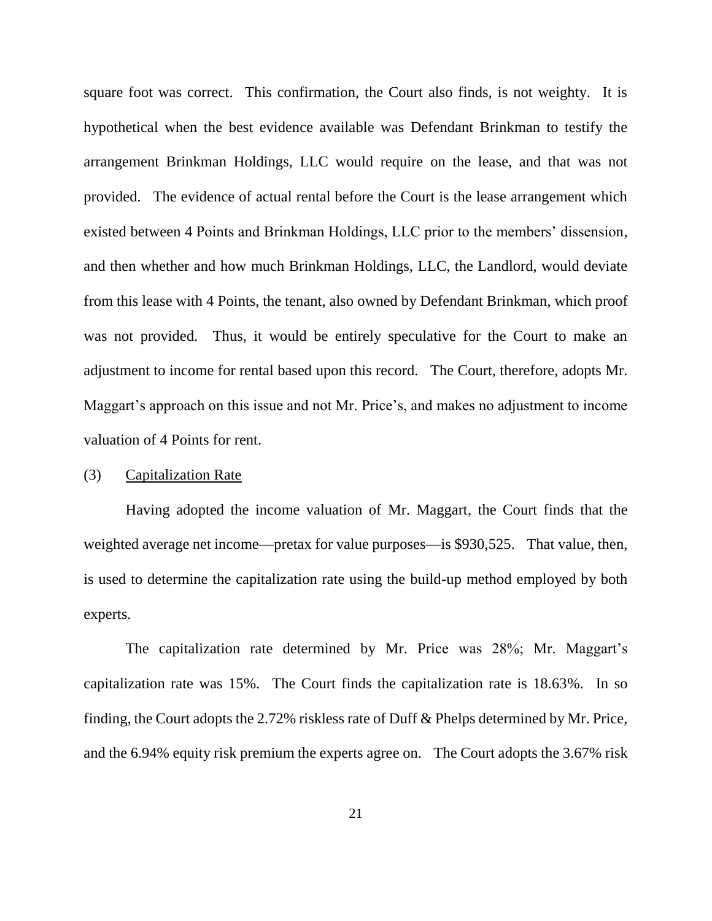square foot was correct. This confirmation, the Court also finds, is not weighty. It is hypothetical when the best evidence available was Defendant Brinkman to testify the arrangement Brinkman Holdings, LLC would require on the lease, and that was not provided. The evidence of actual rental before the Court is the lease arrangement which existed between 4 Points and Brinkman Holdings, LLC prior to the members' dissension, and then whether and how much Brinkman Holdings, LLC, the Landlord, would deviate from this lease with 4 Points, the tenant, also owned by Defendant Brinkman, which proof was not provided. Thus, it would be entirely speculative for the Court to make an adjustment to income for rental based upon this record. The Court, therefore, adopts Mr. Maggart's approach on this issue and not Mr. Price's, and makes no adjustment to income valuation of 4 Points for rent.

## (3) Capitalization Rate

Having adopted the income valuation of Mr. Maggart, the Court finds that the weighted average net income—pretax for value purposes—is \$930,525. That value, then, is used to determine the capitalization rate using the build-up method employed by both experts.

The capitalization rate determined by Mr. Price was 28%; Mr. Maggart's capitalization rate was 15%. The Court finds the capitalization rate is 18.63%. In so finding, the Court adopts the 2.72% riskless rate of Duff & Phelps determined by Mr. Price, and the 6.94% equity risk premium the experts agree on. The Court adopts the 3.67% risk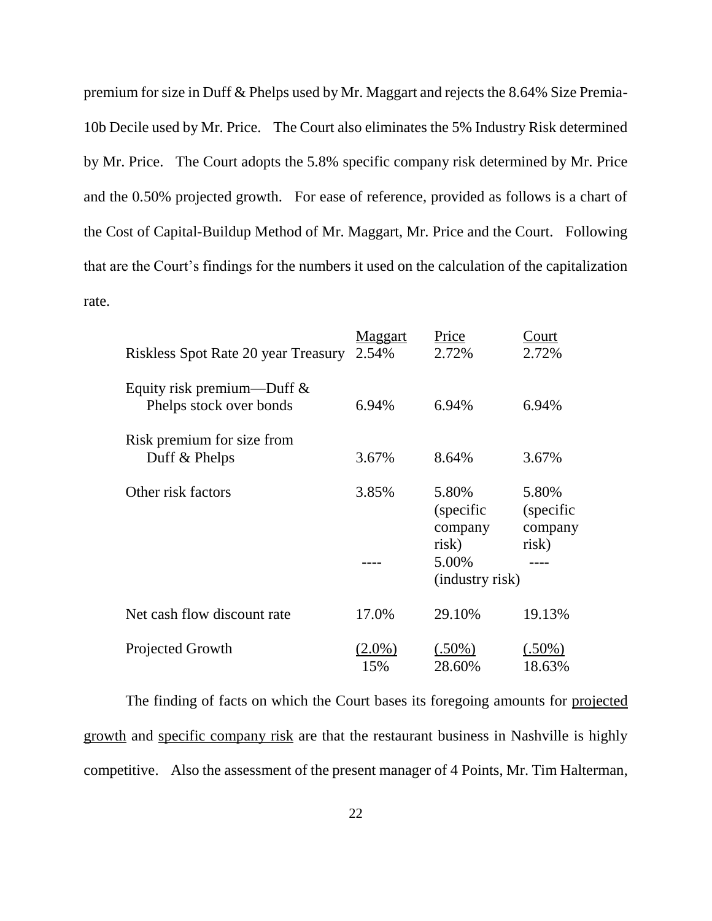premium for size in Duff & Phelps used by Mr. Maggart and rejects the 8.64% Size Premia-10b Decile used by Mr. Price. The Court also eliminates the 5% Industry Risk determined by Mr. Price. The Court adopts the 5.8% specific company risk determined by Mr. Price and the 0.50% projected growth. For ease of reference, provided as follows is a chart of the Cost of Capital-Buildup Method of Mr. Maggart, Mr. Price and the Court. Following that are the Court's findings for the numbers it used on the calculation of the capitalization rate.

| Riskless Spot Rate 20 year Treasury                      | Maggart<br>2.54% | Price<br>2.72%                          | Court<br>2.72%                          |
|----------------------------------------------------------|------------------|-----------------------------------------|-----------------------------------------|
| Equity risk premium—Duff $\&$<br>Phelps stock over bonds | 6.94%            | 6.94%                                   | 6.94%                                   |
| Risk premium for size from<br>Duff & Phelps              | 3.67%            | 8.64%                                   | 3.67%                                   |
| Other risk factors                                       | 3.85%            | 5.80%<br>(specific)<br>company<br>risk) | 5.80%<br>(specific)<br>company<br>risk) |
|                                                          |                  | 5.00%<br>(industry risk)                |                                         |
| Net cash flow discount rate                              | 17.0%            | 29.10%                                  | 19.13%                                  |
| Projected Growth                                         | $(2.0\%)$<br>15% | $(.50\%)$<br>28.60%                     | $(.50\%)$<br>18.63%                     |

The finding of facts on which the Court bases its foregoing amounts for projected growth and specific company risk are that the restaurant business in Nashville is highly competitive. Also the assessment of the present manager of 4 Points, Mr. Tim Halterman,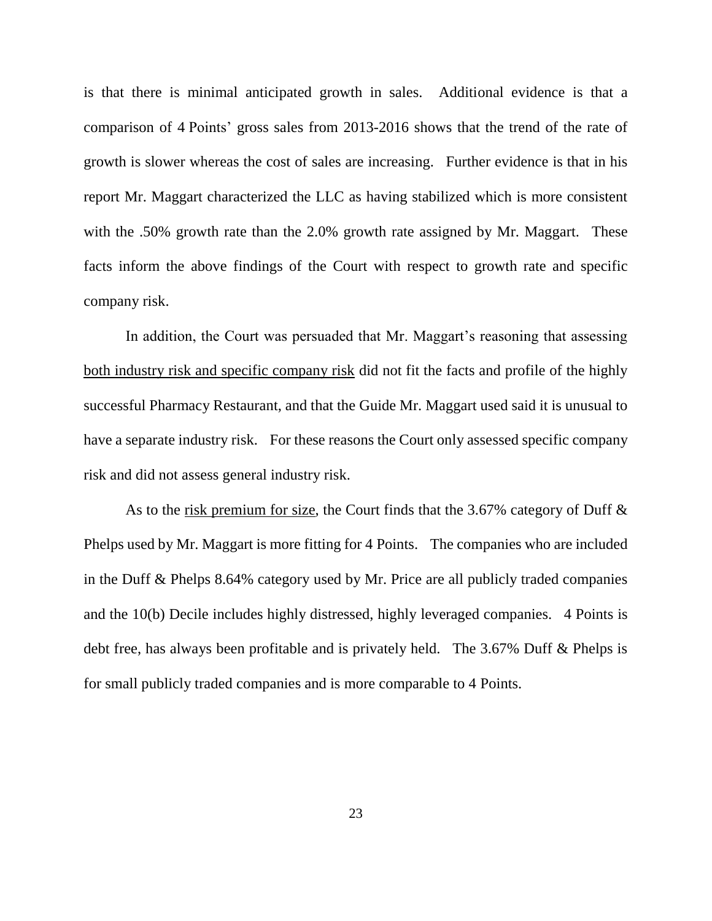is that there is minimal anticipated growth in sales. Additional evidence is that a comparison of 4 Points' gross sales from 2013-2016 shows that the trend of the rate of growth is slower whereas the cost of sales are increasing. Further evidence is that in his report Mr. Maggart characterized the LLC as having stabilized which is more consistent with the .50% growth rate than the 2.0% growth rate assigned by Mr. Maggart. These facts inform the above findings of the Court with respect to growth rate and specific company risk.

In addition, the Court was persuaded that Mr. Maggart's reasoning that assessing both industry risk and specific company risk did not fit the facts and profile of the highly successful Pharmacy Restaurant, and that the Guide Mr. Maggart used said it is unusual to have a separate industry risk. For these reasons the Court only assessed specific company risk and did not assess general industry risk.

As to the risk premium for size, the Court finds that the 3.67% category of Duff & Phelps used by Mr. Maggart is more fitting for 4 Points. The companies who are included in the Duff & Phelps 8.64% category used by Mr. Price are all publicly traded companies and the 10(b) Decile includes highly distressed, highly leveraged companies. 4 Points is debt free, has always been profitable and is privately held. The 3.67% Duff & Phelps is for small publicly traded companies and is more comparable to 4 Points.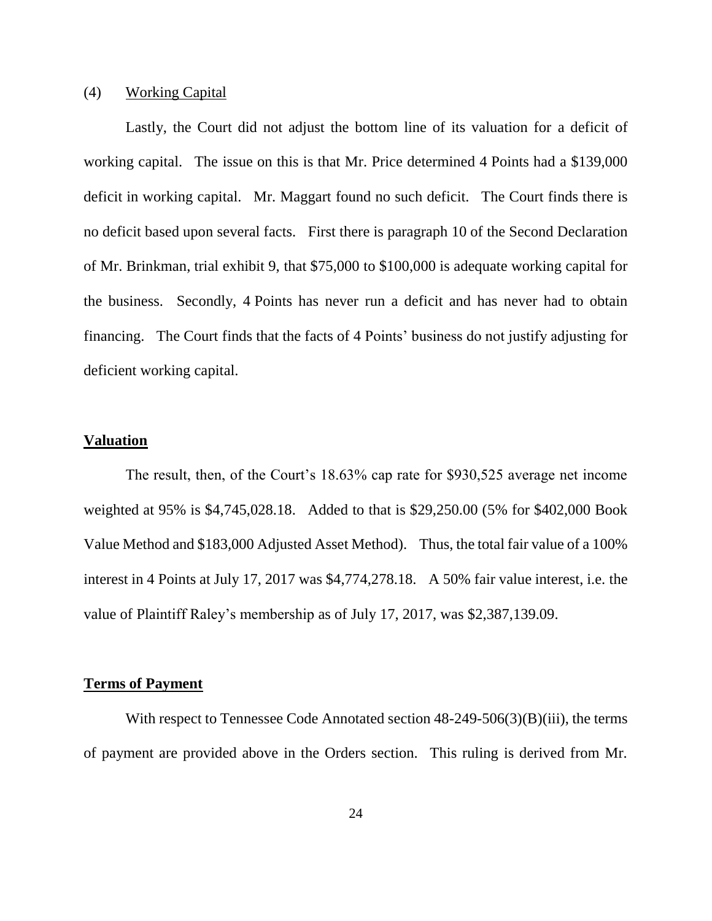#### (4) Working Capital

Lastly, the Court did not adjust the bottom line of its valuation for a deficit of working capital. The issue on this is that Mr. Price determined 4 Points had a \$139,000 deficit in working capital. Mr. Maggart found no such deficit. The Court finds there is no deficit based upon several facts. First there is paragraph 10 of the Second Declaration of Mr. Brinkman, trial exhibit 9, that \$75,000 to \$100,000 is adequate working capital for the business. Secondly, 4 Points has never run a deficit and has never had to obtain financing. The Court finds that the facts of 4 Points' business do not justify adjusting for deficient working capital.

## **Valuation**

The result, then, of the Court's 18.63% cap rate for \$930,525 average net income weighted at 95% is \$4,745,028.18. Added to that is \$29,250.00 (5% for \$402,000 Book Value Method and \$183,000 Adjusted Asset Method). Thus, the total fair value of a 100% interest in 4 Points at July 17, 2017 was \$4,774,278.18. A 50% fair value interest, i.e. the value of Plaintiff Raley's membership as of July 17, 2017, was \$2,387,139.09.

## **Terms of Payment**

With respect to Tennessee Code Annotated section 48-249-506(3)(B)(iii), the terms of payment are provided above in the Orders section. This ruling is derived from Mr.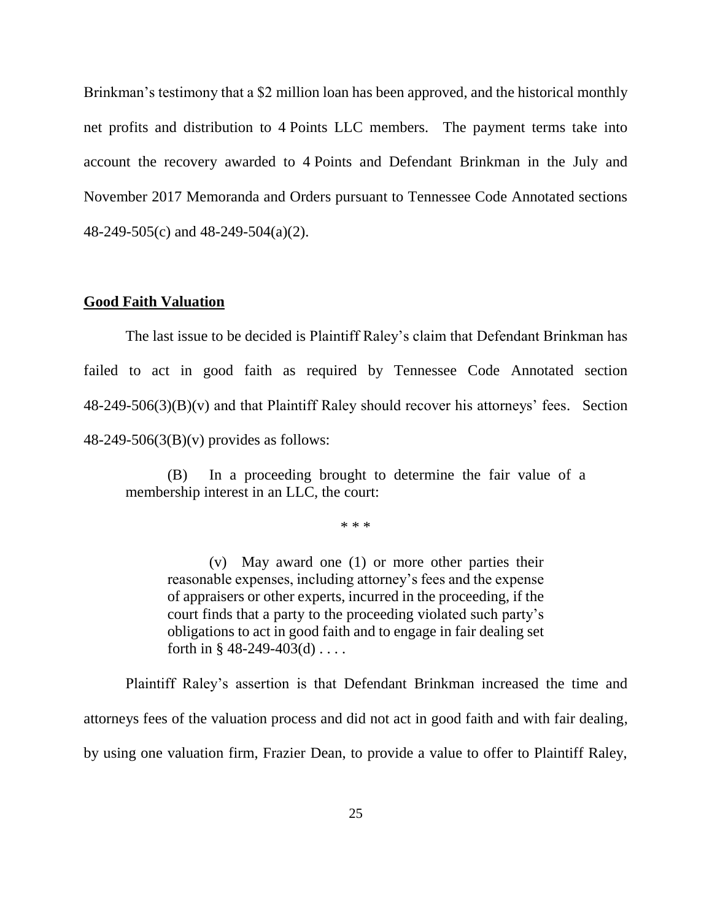Brinkman's testimony that a \$2 million loan has been approved, and the historical monthly net profits and distribution to 4 Points LLC members. The payment terms take into account the recovery awarded to 4 Points and Defendant Brinkman in the July and November 2017 Memoranda and Orders pursuant to Tennessee Code Annotated sections 48-249-505(c) and 48-249-504(a)(2).

#### **Good Faith Valuation**

The last issue to be decided is Plaintiff Raley's claim that Defendant Brinkman has failed to act in good faith as required by Tennessee Code Annotated section  $48-249-506(3)(B)(v)$  and that Plaintiff Raley should recover his attorneys' fees. Section 48-249-506(3(B)(v) provides as follows:

(B) In a proceeding brought to determine the fair value of a membership interest in an LLC, the court:

\* \* \*

(v) May award one (1) or more other parties their reasonable expenses, including attorney's fees and the expense of appraisers or other experts, incurred in the proceeding, if the court finds that a party to the proceeding violated such party's obligations to act in good faith and to engage in fair dealing set forth in  $\S$  48-249-403(d) ....

Plaintiff Raley's assertion is that Defendant Brinkman increased the time and attorneys fees of the valuation process and did not act in good faith and with fair dealing, by using one valuation firm, Frazier Dean, to provide a value to offer to Plaintiff Raley,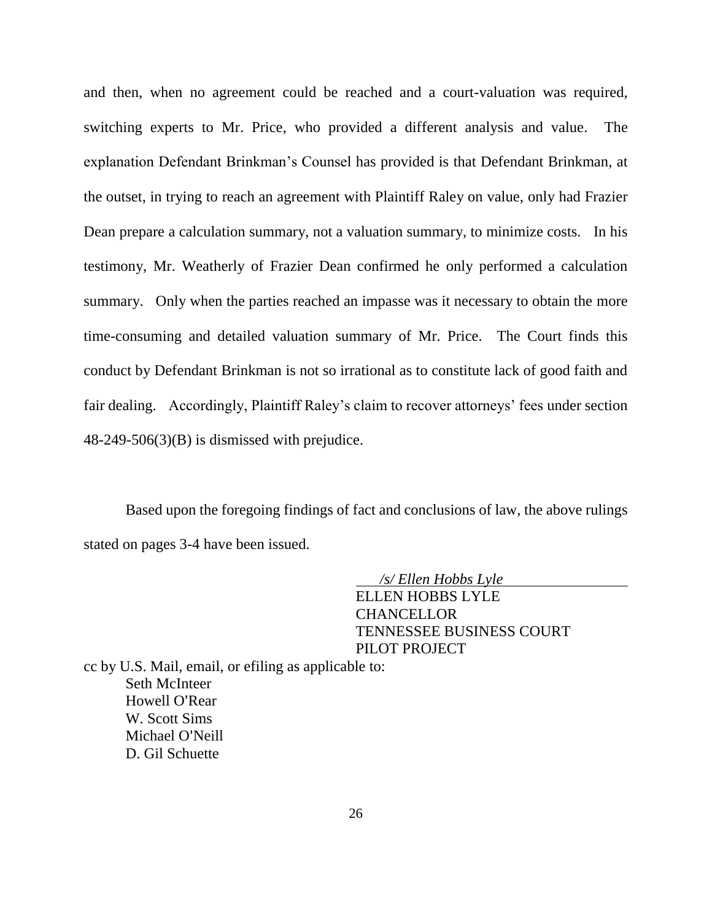and then, when no agreement could be reached and a court-valuation was required, switching experts to Mr. Price, who provided a different analysis and value. The explanation Defendant Brinkman's Counsel has provided is that Defendant Brinkman, at the outset, in trying to reach an agreement with Plaintiff Raley on value, only had Frazier Dean prepare a calculation summary, not a valuation summary, to minimize costs. In his testimony, Mr. Weatherly of Frazier Dean confirmed he only performed a calculation summary. Only when the parties reached an impasse was it necessary to obtain the more time-consuming and detailed valuation summary of Mr. Price. The Court finds this conduct by Defendant Brinkman is not so irrational as to constitute lack of good faith and fair dealing. Accordingly, Plaintiff Raley's claim to recover attorneys' fees under section  $48-249-506(3)(B)$  is dismissed with prejudice.

Based upon the foregoing findings of fact and conclusions of law, the above rulings stated on pages 3-4 have been issued.

 */s/ Ellen Hobbs Lyle* 

ELLEN HOBBS LYLE **CHANCELLOR** TENNESSEE BUSINESS COURT PILOT PROJECT

cc by U.S. Mail, email, or efiling as applicable to: Seth McInteer Howell O'Rear W. Scott Sims Michael O'Neill D. Gil Schuette